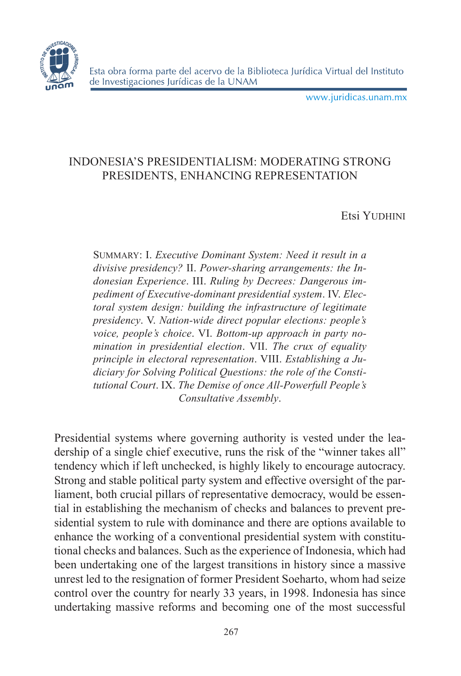

www.juridicas.unam.mx

# INDONESIA'S PRESIDENTIALISM: MODERATING STRONG PRESIDENTS, ENHANCING REPRESENTATION

## Etsi Yudhini

Summary: I. *Executive Dominant System: Need it result in a divisive presidency?* II. *Power-sharing arrangements: the Indonesian Experience*. III. *Ruling by Decrees: Dangerous impediment of Executive-dominant presidential system*. IV. *Electoral system design: building the infrastructure of legitimate presidency*. V. *Nation-wide direct popular elections: people's voice, people's choice*. VI. *Bottom-up approach in party nomination in presidential election*. VII. *The crux of equality principle in electoral representation*. VIII. *Establishing a Judiciary for Solving Political Questions: the role of the Constitutional Court*. IX. *The Demise of once All-Powerfull People's Consultative Assembly*.

Presidential systems where governing authority is vested under the leadership of a single chief executive, runs the risk of the "winner takes all" tendency which if left unchecked, is highly likely to encourage autocracy. Strong and stable political party system and effective oversight of the parliament, both crucial pillars of representative democracy, would be essential in establishing the mechanism of checks and balances to prevent presidential system to rule with dominance and there are options available to enhance the working of a conventional presidential system with constitutional checks and balances. Such as the experience of Indonesia, which had been undertaking one of the largest transitions in history since a massive unrest led to the resignation of former President Soeharto, whom had seize control over the country for nearly 33 years, in 1998. Indonesia has since undertaking massive reforms and becoming one of the most successful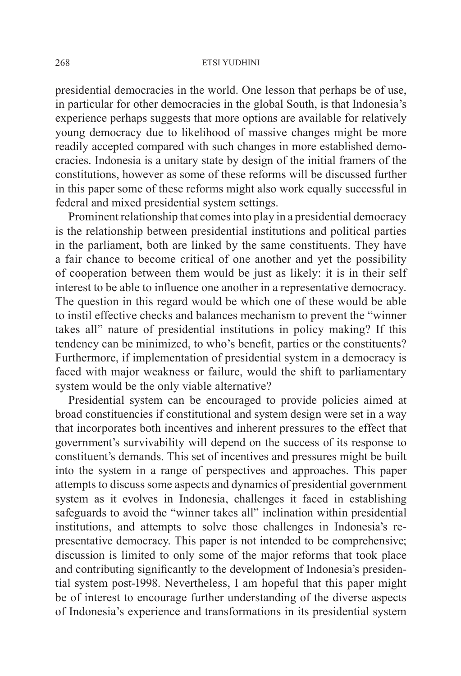presidential democracies in the world. One lesson that perhaps be of use, in particular for other democracies in the global South, is that Indonesia's experience perhaps suggests that more options are available for relatively young democracy due to likelihood of massive changes might be more readily accepted compared with such changes in more established democracies. Indonesia is a unitary state by design of the initial framers of the constitutions, however as some of these reforms will be discussed further in this paper some of these reforms might also work equally successful in federal and mixed presidential system settings.

Prominent relationship that comes into play in a presidential democracy is the relationship between presidential institutions and political parties in the parliament, both are linked by the same constituents. They have a fair chance to become critical of one another and yet the possibility of cooperation between them would be just as likely: it is in their self interest to be able to influence one another in a representative democracy. The question in this regard would be which one of these would be able to instil effective checks and balances mechanism to prevent the "winner takes all" nature of presidential institutions in policy making? If this tendency can be minimized, to who's benefit, parties or the constituents? Furthermore, if implementation of presidential system in a democracy is faced with major weakness or failure, would the shift to parliamentary system would be the only viable alternative?

Presidential system can be encouraged to provide policies aimed at broad constituencies if constitutional and system design were set in a way that incorporates both incentives and inherent pressures to the effect that government's survivability will depend on the success of its response to constituent's demands. This set of incentives and pressures might be built into the system in a range of perspectives and approaches. This paper attempts to discuss some aspects and dynamics of presidential government system as it evolves in Indonesia, challenges it faced in establishing safeguards to avoid the "winner takes all" inclination within presidential institutions, and attempts to solve those challenges in Indonesia's representative democracy. This paper is not intended to be comprehensive; discussion is limited to only some of the major reforms that took place and contributing significantly to the development of Indonesia's presidential system post-1998. Nevertheless, I am hopeful that this paper might be of interest to encourage further understanding of the diverse aspects of Indonesia's experience and transformations in its presidential system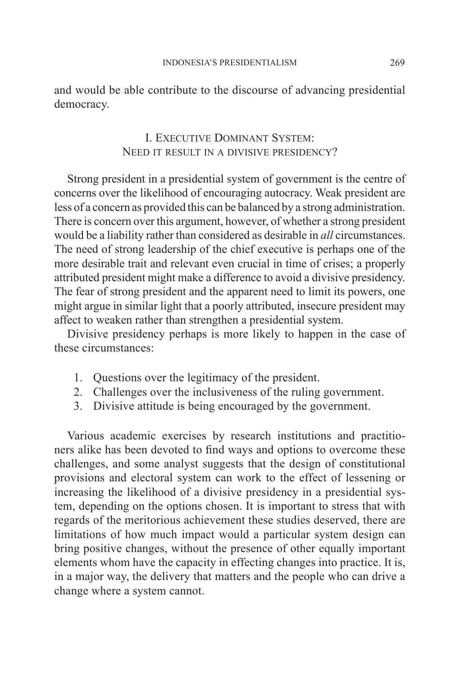and would be able contribute to the discourse of advancing presidential democracy.

# I. Executive Dominant System: Need it result in a divisive presidency?

Strong president in a presidential system of government is the centre of concerns over the likelihood of encouraging autocracy. Weak president are less of a concern as provided this can be balanced by a strong administration. There is concern over this argument, however, of whether a strong president would be a liability rather than considered as desirable in *all* circumstances. The need of strong leadership of the chief executive is perhaps one of the more desirable trait and relevant even crucial in time of crises; a properly attributed president might make a difference to avoid a divisive presidency. The fear of strong president and the apparent need to limit its powers, one might argue in similar light that a poorly attributed, insecure president may affect to weaken rather than strengthen a presidential system.

Divisive presidency perhaps is more likely to happen in the case of these circumstances:

- 1. Questions over the legitimacy of the president.
- 2. Challenges over the inclusiveness of the ruling government.
- 3. Divisive attitude is being encouraged by the government.

Various academic exercises by research institutions and practitioners alike has been devoted to find ways and options to overcome these challenges, and some analyst suggests that the design of constitutional provisions and electoral system can work to the effect of lessening or increasing the likelihood of a divisive presidency in a presidential system, depending on the options chosen. It is important to stress that with regards of the meritorious achievement these studies deserved, there are limitations of how much impact would a particular system design can bring positive changes, without the presence of other equally important elements whom have the capacity in effecting changes into practice. It is, in a major way, the delivery that matters and the people who can drive a change where a system cannot.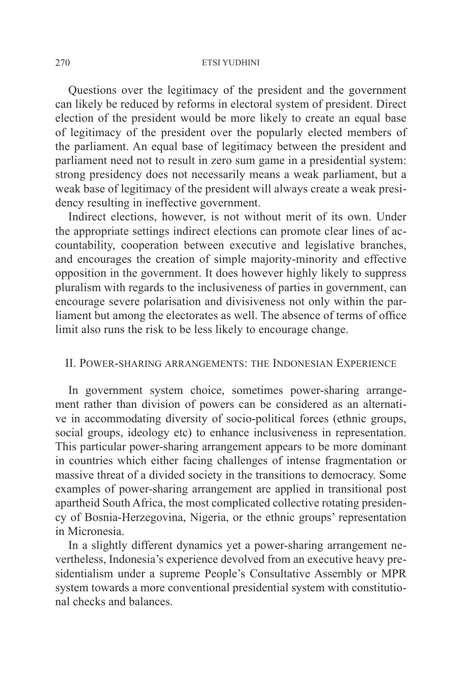Questions over the legitimacy of the president and the government can likely be reduced by reforms in electoral system of president. Direct election of the president would be more likely to create an equal base of legitimacy of the president over the popularly elected members of the parliament. An equal base of legitimacy between the president and parliament need not to result in zero sum game in a presidential system: strong presidency does not necessarily means a weak parliament, but a weak base of legitimacy of the president will always create a weak presidency resulting in ineffective government.

Indirect elections, however, is not without merit of its own. Under the appropriate settings indirect elections can promote clear lines of accountability, cooperation between executive and legislative branches, and encourages the creation of simple majority-minority and effective opposition in the government. It does however highly likely to suppress pluralism with regards to the inclusiveness of parties in government, can encourage severe polarisation and divisiveness not only within the parliament but among the electorates as well. The absence of terms of office limit also runs the risk to be less likely to encourage change.

### II. Power-sharing arrangements: the Indonesian Experience

In government system choice, sometimes power-sharing arrangement rather than division of powers can be considered as an alternative in accommodating diversity of socio-political forces (ethnic groups, social groups, ideology etc) to enhance inclusiveness in representation. This particular power-sharing arrangement appears to be more dominant in countries which either facing challenges of intense fragmentation or massive threat of a divided society in the transitions to democracy. Some examples of power-sharing arrangement are applied in transitional post apartheid South Africa, the most complicated collective rotating presidency of Bosnia-Herzegovina, Nigeria, or the ethnic groups' representation in Micronesia.

In a slightly different dynamics yet a power-sharing arrangement nevertheless, Indonesia's experience devolved from an executive heavy presidentialism under a supreme People's Consultative Assembly or MPR system towards a more conventional presidential system with constitutional checks and balances.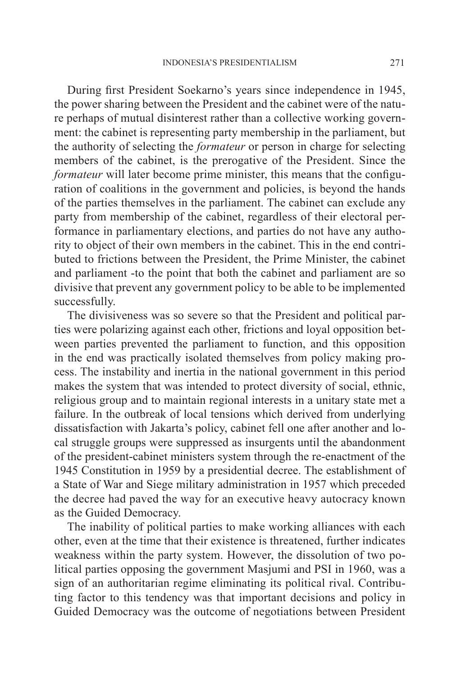During first President Soekarno's years since independence in 1945, the power sharing between the President and the cabinet were of the nature perhaps of mutual disinterest rather than a collective working government: the cabinet is representing party membership in the parliament, but the authority of selecting the *formateur* or person in charge for selecting members of the cabinet, is the prerogative of the President. Since the *formateur* will later become prime minister, this means that the configuration of coalitions in the government and policies, is beyond the hands of the parties themselves in the parliament. The cabinet can exclude any party from membership of the cabinet, regardless of their electoral performance in parliamentary elections, and parties do not have any authority to object of their own members in the cabinet. This in the end contributed to frictions between the President, the Prime Minister, the cabinet and parliament -to the point that both the cabinet and parliament are so divisive that prevent any government policy to be able to be implemented successfully.

The divisiveness was so severe so that the President and political parties were polarizing against each other, frictions and loyal opposition between parties prevented the parliament to function, and this opposition in the end was practically isolated themselves from policy making process. The instability and inertia in the national government in this period makes the system that was intended to protect diversity of social, ethnic, religious group and to maintain regional interests in a unitary state met a failure. In the outbreak of local tensions which derived from underlying dissatisfaction with Jakarta's policy, cabinet fell one after another and local struggle groups were suppressed as insurgents until the abandonment of the president-cabinet ministers system through the re-enactment of the 1945 Constitution in 1959 by a presidential decree. The establishment of a State of War and Siege military administration in 1957 which preceded the decree had paved the way for an executive heavy autocracy known as the Guided Democracy.

The inability of political parties to make working alliances with each other, even at the time that their existence is threatened, further indicates weakness within the party system. However, the dissolution of two political parties opposing the government Masjumi and PSI in 1960, was a sign of an authoritarian regime eliminating its political rival. Contributing factor to this tendency was that important decisions and policy in Guided Democracy was the outcome of negotiations between President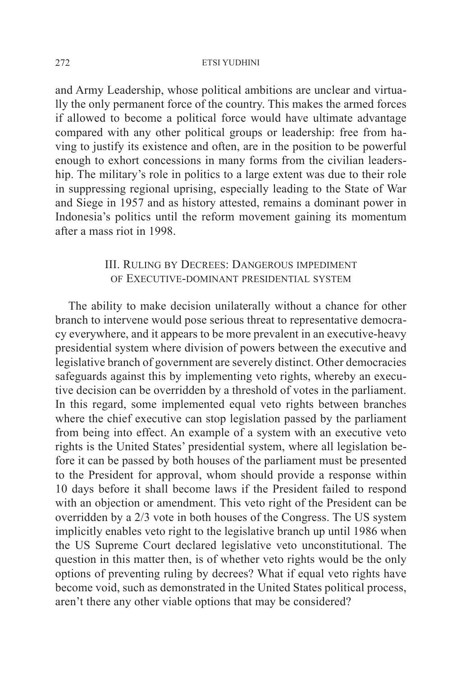and Army Leadership, whose political ambitions are unclear and virtually the only permanent force of the country. This makes the armed forces if allowed to become a political force would have ultimate advantage compared with any other political groups or leadership: free from having to justify its existence and often, are in the position to be powerful enough to exhort concessions in many forms from the civilian leadership. The military's role in politics to a large extent was due to their role in suppressing regional uprising, especially leading to the State of War and Siege in 1957 and as history attested, remains a dominant power in Indonesia's politics until the reform movement gaining its momentum after a mass riot in 1998.

## III. Ruling by Decrees: Dangerous impediment of Executive-dominant presidential system

The ability to make decision unilaterally without a chance for other branch to intervene would pose serious threat to representative democracy everywhere, and it appears to be more prevalent in an executive-heavy presidential system where division of powers between the executive and legislative branch of government are severely distinct. Other democracies safeguards against this by implementing veto rights, whereby an executive decision can be overridden by a threshold of votes in the parliament. In this regard, some implemented equal veto rights between branches where the chief executive can stop legislation passed by the parliament from being into effect. An example of a system with an executive veto rights is the United States' presidential system, where all legislation before it can be passed by both houses of the parliament must be presented to the President for approval, whom should provide a response within 10 days before it shall become laws if the President failed to respond with an objection or amendment. This veto right of the President can be overridden by a 2/3 vote in both houses of the Congress. The US system implicitly enables veto right to the legislative branch up until 1986 when the US Supreme Court declared legislative veto unconstitutional. The question in this matter then, is of whether veto rights would be the only options of preventing ruling by decrees? What if equal veto rights have become void, such as demonstrated in the United States political process, aren't there any other viable options that may be considered?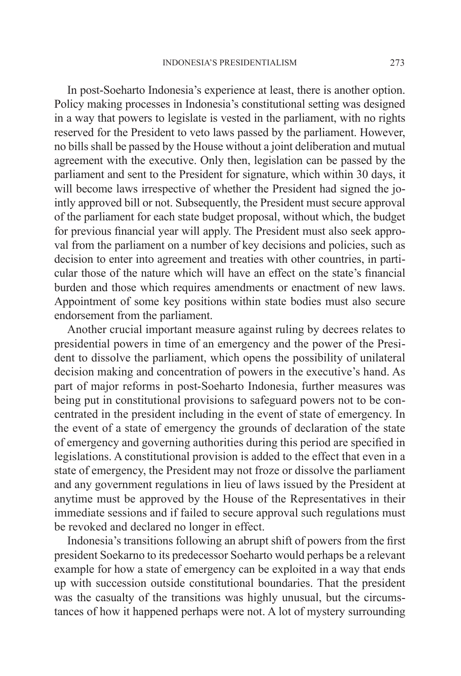In post-Soeharto Indonesia's experience at least, there is another option. Policy making processes in Indonesia's constitutional setting was designed in a way that powers to legislate is vested in the parliament, with no rights reserved for the President to veto laws passed by the parliament. However, no bills shall be passed by the House without a joint deliberation and mutual agreement with the executive. Only then, legislation can be passed by the parliament and sent to the President for signature, which within 30 days, it will become laws irrespective of whether the President had signed the jointly approved bill or not. Subsequently, the President must secure approval of the parliament for each state budget proposal, without which, the budget for previous financial year will apply. The President must also seek approval from the parliament on a number of key decisions and policies, such as decision to enter into agreement and treaties with other countries, in particular those of the nature which will have an effect on the state's financial burden and those which requires amendments or enactment of new laws. Appointment of some key positions within state bodies must also secure endorsement from the parliament.

Another crucial important measure against ruling by decrees relates to presidential powers in time of an emergency and the power of the President to dissolve the parliament, which opens the possibility of unilateral decision making and concentration of powers in the executive's hand. As part of major reforms in post-Soeharto Indonesia, further measures was being put in constitutional provisions to safeguard powers not to be concentrated in the president including in the event of state of emergency. In the event of a state of emergency the grounds of declaration of the state of emergency and governing authorities during this period are specified in legislations. A constitutional provision is added to the effect that even in a state of emergency, the President may not froze or dissolve the parliament and any government regulations in lieu of laws issued by the President at anytime must be approved by the House of the Representatives in their immediate sessions and if failed to secure approval such regulations must be revoked and declared no longer in effect.

Indonesia's transitions following an abrupt shift of powers from the first president Soekarno to its predecessor Soeharto would perhaps be a relevant example for how a state of emergency can be exploited in a way that ends up with succession outside constitutional boundaries. That the president was the casualty of the transitions was highly unusual, but the circumstances of how it happened perhaps were not. A lot of mystery surrounding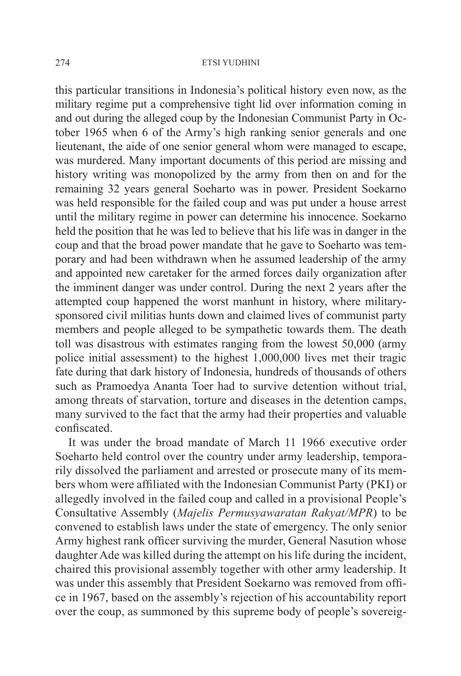this particular transitions in Indonesia's political history even now, as the military regime put a comprehensive tight lid over information coming in and out during the alleged coup by the Indonesian Communist Party in October 1965 when 6 of the Army's high ranking senior generals and one lieutenant, the aide of one senior general whom were managed to escape, was murdered. Many important documents of this period are missing and history writing was monopolized by the army from then on and for the remaining 32 years general Soeharto was in power. President Soekarno was held responsible for the failed coup and was put under a house arrest until the military regime in power can determine his innocence. Soekarno held the position that he was led to believe that his life was in danger in the coup and that the broad power mandate that he gave to Soeharto was temporary and had been withdrawn when he assumed leadership of the army and appointed new caretaker for the armed forces daily organization after the imminent danger was under control. During the next 2 years after the attempted coup happened the worst manhunt in history, where militarysponsored civil militias hunts down and claimed lives of communist party members and people alleged to be sympathetic towards them. The death toll was disastrous with estimates ranging from the lowest 50,000 (army police initial assessment) to the highest 1,000,000 lives met their tragic fate during that dark history of Indonesia, hundreds of thousands of others such as Pramoedya Ananta Toer had to survive detention without trial, among threats of starvation, torture and diseases in the detention camps, many survived to the fact that the army had their properties and valuable confiscated.

It was under the broad mandate of March 11 1966 executive order Soeharto held control over the country under army leadership, temporarily dissolved the parliament and arrested or prosecute many of its members whom were affiliated with the Indonesian Communist Party (PKI) or allegedly involved in the failed coup and called in a provisional People's Consultative Assembly (*Majelis Permusyawaratan Rakyat/MPR*) to be convened to establish laws under the state of emergency. The only senior Army highest rank officer surviving the murder, General Nasution whose daughter Ade was killed during the attempt on his life during the incident, chaired this provisional assembly together with other army leadership. It was under this assembly that President Soekarno was removed from office in 1967, based on the assembly's rejection of his accountability report over the coup, as summoned by this supreme body of people's sovereig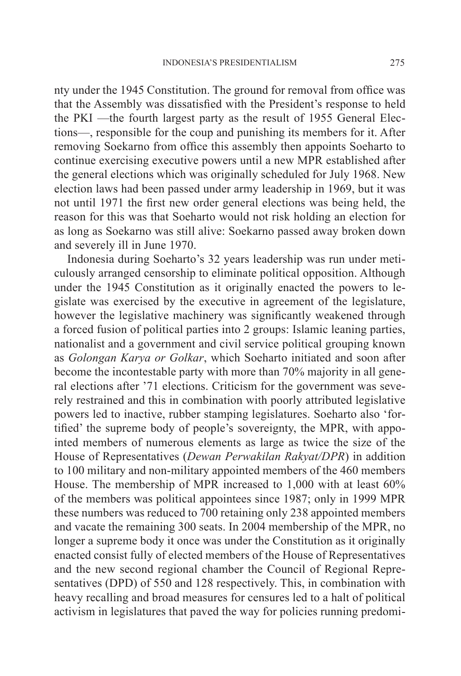nty under the 1945 Constitution. The ground for removal from office was that the Assembly was dissatisfied with the President's response to held the PKI —the fourth largest party as the result of 1955 General Elections—, responsible for the coup and punishing its members for it. After removing Soekarno from office this assembly then appoints Soeharto to continue exercising executive powers until a new MPR established after the general elections which was originally scheduled for July 1968. New election laws had been passed under army leadership in 1969, but it was not until 1971 the first new order general elections was being held, the reason for this was that Soeharto would not risk holding an election for as long as Soekarno was still alive: Soekarno passed away broken down and severely ill in June 1970.

Indonesia during Soeharto's 32 years leadership was run under meticulously arranged censorship to eliminate political opposition. Although under the 1945 Constitution as it originally enacted the powers to legislate was exercised by the executive in agreement of the legislature, however the legislative machinery was significantly weakened through a forced fusion of political parties into 2 groups: Islamic leaning parties, nationalist and a government and civil service political grouping known as *Golongan Karya or Golkar*, which Soeharto initiated and soon after become the incontestable party with more than 70% majority in all general elections after '71 elections. Criticism for the government was severely restrained and this in combination with poorly attributed legislative powers led to inactive, rubber stamping legislatures. Soeharto also 'fortified' the supreme body of people's sovereignty, the MPR, with appointed members of numerous elements as large as twice the size of the House of Representatives (*Dewan Perwakilan Rakyat/DPR*) in addition to 100 military and non-military appointed members of the 460 members House. The membership of MPR increased to 1,000 with at least 60% of the members was political appointees since 1987; only in 1999 MPR these numbers was reduced to 700 retaining only 238 appointed members and vacate the remaining 300 seats. In 2004 membership of the MPR, no longer a supreme body it once was under the Constitution as it originally enacted consist fully of elected members of the House of Representatives and the new second regional chamber the Council of Regional Representatives (DPD) of 550 and 128 respectively. This, in combination with heavy recalling and broad measures for censures led to a halt of political activism in legislatures that paved the way for policies running predomi-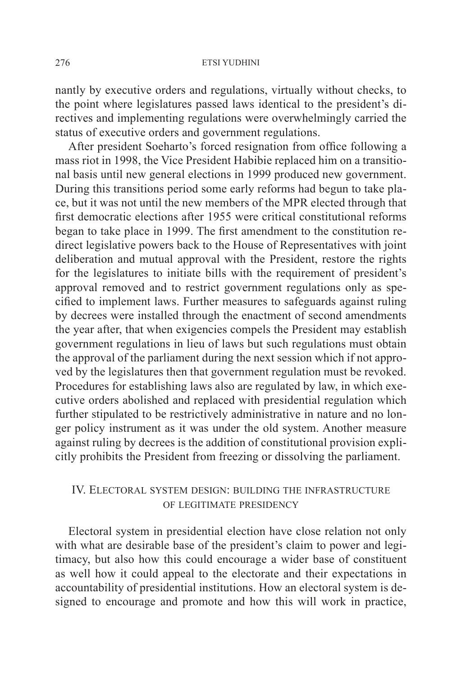nantly by executive orders and regulations, virtually without checks, to the point where legislatures passed laws identical to the president's directives and implementing regulations were overwhelmingly carried the status of executive orders and government regulations.

After president Soeharto's forced resignation from office following a mass riot in 1998, the Vice President Habibie replaced him on a transitional basis until new general elections in 1999 produced new government. During this transitions period some early reforms had begun to take place, but it was not until the new members of the MPR elected through that first democratic elections after 1955 were critical constitutional reforms began to take place in 1999. The first amendment to the constitution redirect legislative powers back to the House of Representatives with joint deliberation and mutual approval with the President, restore the rights for the legislatures to initiate bills with the requirement of president's approval removed and to restrict government regulations only as specified to implement laws. Further measures to safeguards against ruling by decrees were installed through the enactment of second amendments the year after, that when exigencies compels the President may establish government regulations in lieu of laws but such regulations must obtain the approval of the parliament during the next session which if not approved by the legislatures then that government regulation must be revoked. Procedures for establishing laws also are regulated by law, in which executive orders abolished and replaced with presidential regulation which further stipulated to be restrictively administrative in nature and no longer policy instrument as it was under the old system. Another measure against ruling by decrees is the addition of constitutional provision explicitly prohibits the President from freezing or dissolving the parliament.

### IV. Electoral system design: building the infrastructure of legitimate presidency

Electoral system in presidential election have close relation not only with what are desirable base of the president's claim to power and legitimacy, but also how this could encourage a wider base of constituent as well how it could appeal to the electorate and their expectations in accountability of presidential institutions. How an electoral system is designed to encourage and promote and how this will work in practice,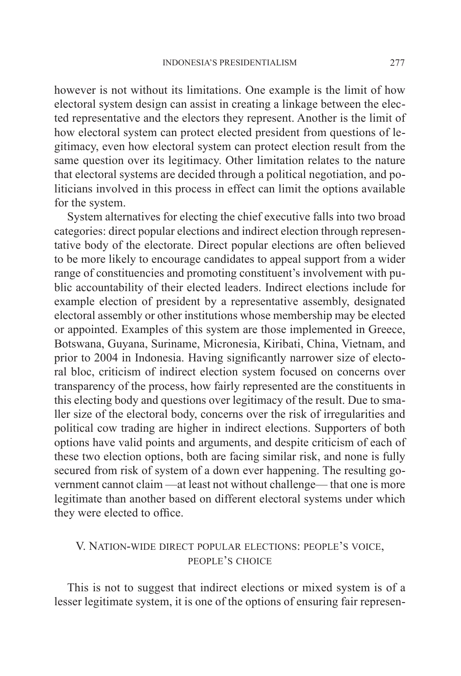however is not without its limitations. One example is the limit of how electoral system design can assist in creating a linkage between the elected representative and the electors they represent. Another is the limit of how electoral system can protect elected president from questions of legitimacy, even how electoral system can protect election result from the same question over its legitimacy. Other limitation relates to the nature that electoral systems are decided through a political negotiation, and politicians involved in this process in effect can limit the options available for the system.

System alternatives for electing the chief executive falls into two broad categories: direct popular elections and indirect election through representative body of the electorate. Direct popular elections are often believed to be more likely to encourage candidates to appeal support from a wider range of constituencies and promoting constituent's involvement with public accountability of their elected leaders. Indirect elections include for example election of president by a representative assembly, designated electoral assembly or other institutions whose membership may be elected or appointed. Examples of this system are those implemented in Greece, Botswana, Guyana, Suriname, Micronesia, Kiribati, China, Vietnam, and prior to 2004 in Indonesia. Having significantly narrower size of electoral bloc, criticism of indirect election system focused on concerns over transparency of the process, how fairly represented are the constituents in this electing body and questions over legitimacy of the result. Due to smaller size of the electoral body, concerns over the risk of irregularities and political cow trading are higher in indirect elections. Supporters of both options have valid points and arguments, and despite criticism of each of these two election options, both are facing similar risk, and none is fully secured from risk of system of a down ever happening. The resulting government cannot claim —at least not without challenge— that one is more legitimate than another based on different electoral systems under which they were elected to office.

## V. Nation-wide direct popular elections: people's voice, people's choice

This is not to suggest that indirect elections or mixed system is of a lesser legitimate system, it is one of the options of ensuring fair represen-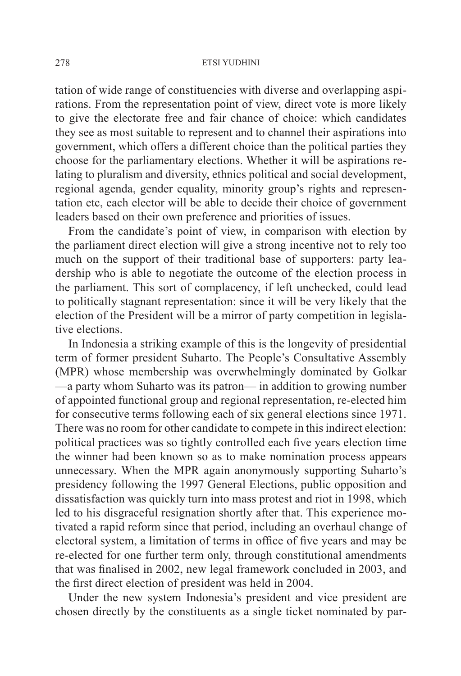tation of wide range of constituencies with diverse and overlapping aspirations. From the representation point of view, direct vote is more likely to give the electorate free and fair chance of choice: which candidates they see as most suitable to represent and to channel their aspirations into government, which offers a different choice than the political parties they choose for the parliamentary elections. Whether it will be aspirations relating to pluralism and diversity, ethnics political and social development, regional agenda, gender equality, minority group's rights and representation etc, each elector will be able to decide their choice of government leaders based on their own preference and priorities of issues.

From the candidate's point of view, in comparison with election by the parliament direct election will give a strong incentive not to rely too much on the support of their traditional base of supporters: party leadership who is able to negotiate the outcome of the election process in the parliament. This sort of complacency, if left unchecked, could lead to politically stagnant representation: since it will be very likely that the election of the President will be a mirror of party competition in legislative elections.

In Indonesia a striking example of this is the longevity of presidential term of former president Suharto. The People's Consultative Assembly (MPR) whose membership was overwhelmingly dominated by Golkar —a party whom Suharto was its patron— in addition to growing number of appointed functional group and regional representation, re-elected him for consecutive terms following each of six general elections since 1971. There was no room for other candidate to compete in this indirect election: political practices was so tightly controlled each five years election time the winner had been known so as to make nomination process appears unnecessary. When the MPR again anonymously supporting Suharto's presidency following the 1997 General Elections, public opposition and dissatisfaction was quickly turn into mass protest and riot in 1998, which led to his disgraceful resignation shortly after that. This experience motivated a rapid reform since that period, including an overhaul change of electoral system, a limitation of terms in office of five years and may be re-elected for one further term only, through constitutional amendments that was finalised in 2002, new legal framework concluded in 2003, and the first direct election of president was held in 2004.

Under the new system Indonesia's president and vice president are chosen directly by the constituents as a single ticket nominated by par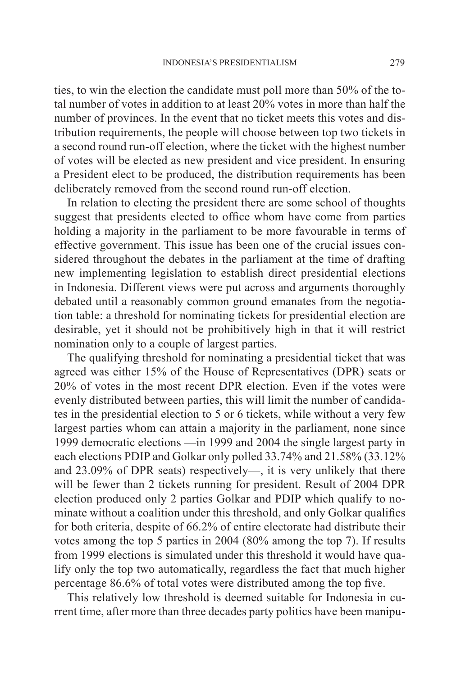ties, to win the election the candidate must poll more than 50% of the total number of votes in addition to at least 20% votes in more than half the number of provinces. In the event that no ticket meets this votes and distribution requirements, the people will choose between top two tickets in a second round run-off election, where the ticket with the highest number of votes will be elected as new president and vice president. In ensuring a President elect to be produced, the distribution requirements has been deliberately removed from the second round run-off election.

In relation to electing the president there are some school of thoughts suggest that presidents elected to office whom have come from parties holding a majority in the parliament to be more favourable in terms of effective government. This issue has been one of the crucial issues considered throughout the debates in the parliament at the time of drafting new implementing legislation to establish direct presidential elections in Indonesia. Different views were put across and arguments thoroughly debated until a reasonably common ground emanates from the negotiation table: a threshold for nominating tickets for presidential election are desirable, yet it should not be prohibitively high in that it will restrict nomination only to a couple of largest parties.

The qualifying threshold for nominating a presidential ticket that was agreed was either 15% of the House of Representatives (DPR) seats or 20% of votes in the most recent DPR election. Even if the votes were evenly distributed between parties, this will limit the number of candidates in the presidential election to 5 or 6 tickets, while without a very few largest parties whom can attain a majority in the parliament, none since 1999 democratic elections —in 1999 and 2004 the single largest party in each elections PDIP and Golkar only polled 33.74% and 21.58% (33.12% and 23.09% of DPR seats) respectively—, it is very unlikely that there will be fewer than 2 tickets running for president. Result of 2004 DPR election produced only 2 parties Golkar and PDIP which qualify to nominate without a coalition under this threshold, and only Golkar qualifies for both criteria, despite of 66.2% of entire electorate had distribute their votes among the top 5 parties in 2004 (80% among the top 7). If results from 1999 elections is simulated under this threshold it would have qualify only the top two automatically, regardless the fact that much higher percentage 86.6% of total votes were distributed among the top five.

This relatively low threshold is deemed suitable for Indonesia in current time, after more than three decades party politics have been manipu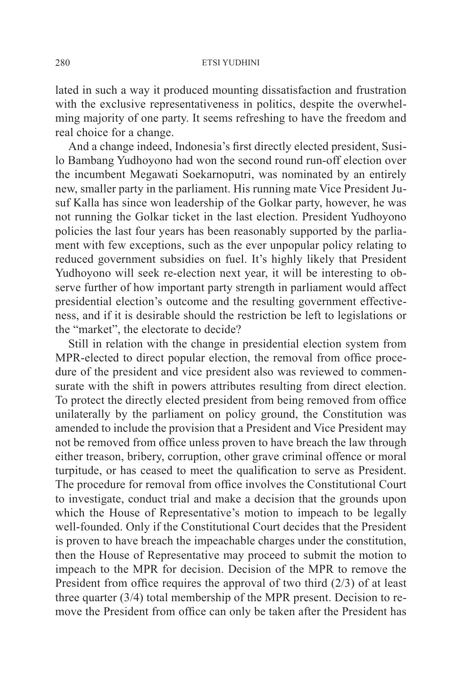lated in such a way it produced mounting dissatisfaction and frustration with the exclusive representativeness in politics, despite the overwhelming majority of one party. It seems refreshing to have the freedom and real choice for a change.

And a change indeed, Indonesia's first directly elected president, Susilo Bambang Yudhoyono had won the second round run-off election over the incumbent Megawati Soekarnoputri, was nominated by an entirely new, smaller party in the parliament. His running mate Vice President Jusuf Kalla has since won leadership of the Golkar party, however, he was not running the Golkar ticket in the last election. President Yudhoyono policies the last four years has been reasonably supported by the parliament with few exceptions, such as the ever unpopular policy relating to reduced government subsidies on fuel. It's highly likely that President Yudhoyono will seek re-election next year, it will be interesting to observe further of how important party strength in parliament would affect presidential election's outcome and the resulting government effectiveness, and if it is desirable should the restriction be left to legislations or the "market", the electorate to decide?

Still in relation with the change in presidential election system from MPR-elected to direct popular election, the removal from office procedure of the president and vice president also was reviewed to commensurate with the shift in powers attributes resulting from direct election. To protect the directly elected president from being removed from office unilaterally by the parliament on policy ground, the Constitution was amended to include the provision that a President and Vice President may not be removed from office unless proven to have breach the law through either treason, bribery, corruption, other grave criminal offence or moral turpitude, or has ceased to meet the qualification to serve as President. The procedure for removal from office involves the Constitutional Court to investigate, conduct trial and make a decision that the grounds upon which the House of Representative's motion to impeach to be legally well-founded. Only if the Constitutional Court decides that the President is proven to have breach the impeachable charges under the constitution, then the House of Representative may proceed to submit the motion to impeach to the MPR for decision. Decision of the MPR to remove the President from office requires the approval of two third (2/3) of at least three quarter (3/4) total membership of the MPR present. Decision to remove the President from office can only be taken after the President has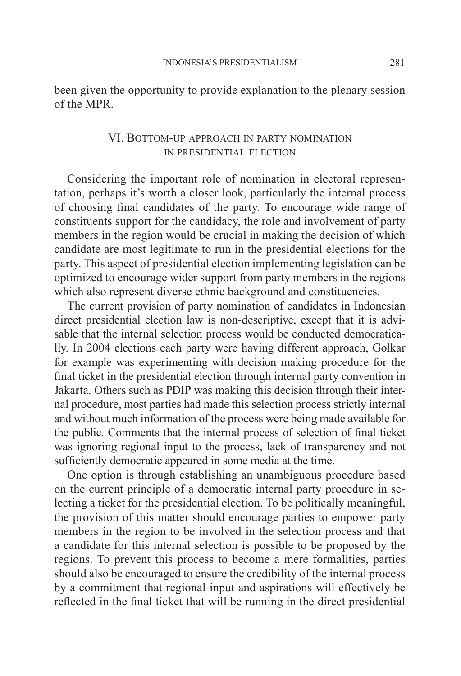been given the opportunity to provide explanation to the plenary session of the MPR.

### VI. Bottom-up approach in party nomination in presidential election

Considering the important role of nomination in electoral representation, perhaps it's worth a closer look, particularly the internal process of choosing final candidates of the party. To encourage wide range of constituents support for the candidacy, the role and involvement of party members in the region would be crucial in making the decision of which candidate are most legitimate to run in the presidential elections for the party. This aspect of presidential election implementing legislation can be optimized to encourage wider support from party members in the regions which also represent diverse ethnic background and constituencies.

The current provision of party nomination of candidates in Indonesian direct presidential election law is non-descriptive, except that it is advisable that the internal selection process would be conducted democratically. In 2004 elections each party were having different approach, Golkar for example was experimenting with decision making procedure for the final ticket in the presidential election through internal party convention in Jakarta. Others such as PDIP was making this decision through their internal procedure, most parties had made this selection process strictly internal and without much information of the process were being made available for the public. Comments that the internal process of selection of final ticket was ignoring regional input to the process, lack of transparency and not sufficiently democratic appeared in some media at the time.

One option is through establishing an unambiguous procedure based on the current principle of a democratic internal party procedure in selecting a ticket for the presidential election. To be politically meaningful, the provision of this matter should encourage parties to empower party members in the region to be involved in the selection process and that a candidate for this internal selection is possible to be proposed by the regions. To prevent this process to become a mere formalities, parties should also be encouraged to ensure the credibility of the internal process by a commitment that regional input and aspirations will effectively be reflected in the final ticket that will be running in the direct presidential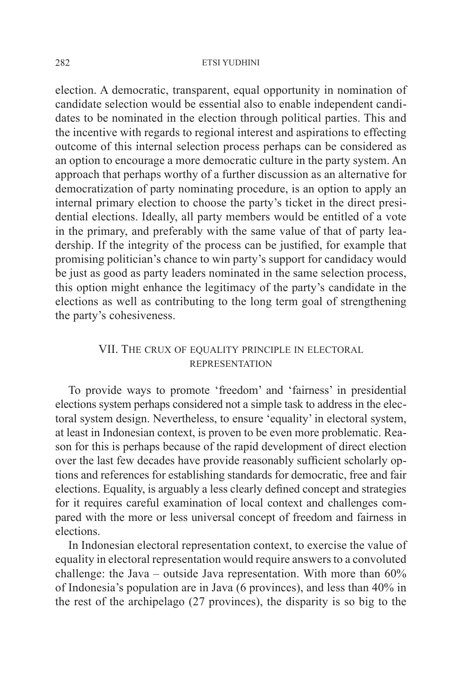election. A democratic, transparent, equal opportunity in nomination of candidate selection would be essential also to enable independent candidates to be nominated in the election through political parties. This and the incentive with regards to regional interest and aspirations to effecting outcome of this internal selection process perhaps can be considered as an option to encourage a more democratic culture in the party system. An approach that perhaps worthy of a further discussion as an alternative for democratization of party nominating procedure, is an option to apply an internal primary election to choose the party's ticket in the direct presidential elections. Ideally, all party members would be entitled of a vote in the primary, and preferably with the same value of that of party leadership. If the integrity of the process can be justified, for example that promising politician's chance to win party's support for candidacy would be just as good as party leaders nominated in the same selection process, this option might enhance the legitimacy of the party's candidate in the elections as well as contributing to the long term goal of strengthening the party's cohesiveness.

# VII. THE CRUX OF EQUALITY PRINCIPLE IN ELECTORAL representation

To provide ways to promote 'freedom' and 'fairness' in presidential elections system perhaps considered not a simple task to address in the electoral system design. Nevertheless, to ensure 'equality' in electoral system, at least in Indonesian context, is proven to be even more problematic. Reason for this is perhaps because of the rapid development of direct election over the last few decades have provide reasonably sufficient scholarly options and references for establishing standards for democratic, free and fair elections. Equality, is arguably a less clearly defined concept and strategies for it requires careful examination of local context and challenges compared with the more or less universal concept of freedom and fairness in elections.

In Indonesian electoral representation context, to exercise the value of equality in electoral representation would require answers to a convoluted challenge: the Java – outside Java representation. With more than 60% of Indonesia's population are in Java (6 provinces), and less than 40% in the rest of the archipelago (27 provinces), the disparity is so big to the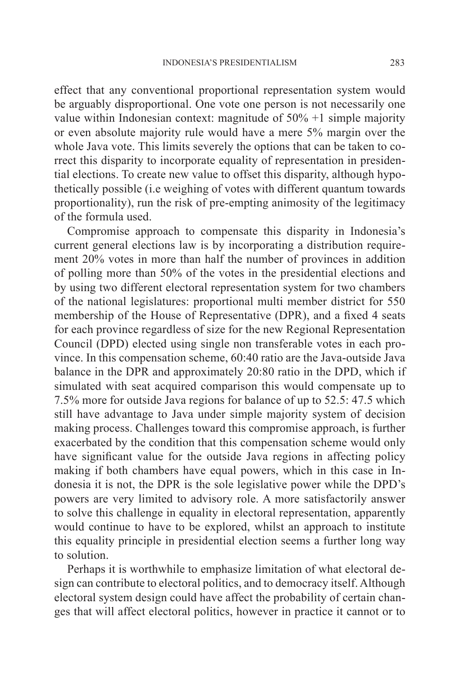effect that any conventional proportional representation system would be arguably disproportional. One vote one person is not necessarily one value within Indonesian context: magnitude of 50% +1 simple majority or even absolute majority rule would have a mere 5% margin over the whole Java vote. This limits severely the options that can be taken to correct this disparity to incorporate equality of representation in presidential elections. To create new value to offset this disparity, although hypothetically possible (i.e weighing of votes with different quantum towards proportionality), run the risk of pre-empting animosity of the legitimacy of the formula used.

Compromise approach to compensate this disparity in Indonesia's current general elections law is by incorporating a distribution requirement 20% votes in more than half the number of provinces in addition of polling more than 50% of the votes in the presidential elections and by using two different electoral representation system for two chambers of the national legislatures: proportional multi member district for 550 membership of the House of Representative (DPR), and a fixed 4 seats for each province regardless of size for the new Regional Representation Council (DPD) elected using single non transferable votes in each province. In this compensation scheme, 60:40 ratio are the Java-outside Java balance in the DPR and approximately 20:80 ratio in the DPD, which if simulated with seat acquired comparison this would compensate up to 7.5% more for outside Java regions for balance of up to 52.5: 47.5 which still have advantage to Java under simple majority system of decision making process. Challenges toward this compromise approach, is further exacerbated by the condition that this compensation scheme would only have significant value for the outside Java regions in affecting policy making if both chambers have equal powers, which in this case in Indonesia it is not, the DPR is the sole legislative power while the DPD's powers are very limited to advisory role. A more satisfactorily answer to solve this challenge in equality in electoral representation, apparently would continue to have to be explored, whilst an approach to institute this equality principle in presidential election seems a further long way to solution.

Perhaps it is worthwhile to emphasize limitation of what electoral design can contribute to electoral politics, and to democracy itself. Although electoral system design could have affect the probability of certain changes that will affect electoral politics, however in practice it cannot or to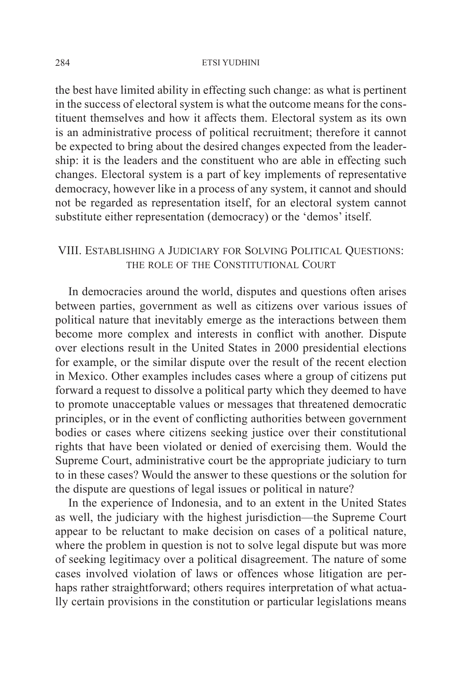the best have limited ability in effecting such change: as what is pertinent in the success of electoral system is what the outcome means for the constituent themselves and how it affects them. Electoral system as its own is an administrative process of political recruitment; therefore it cannot be expected to bring about the desired changes expected from the leadership: it is the leaders and the constituent who are able in effecting such changes. Electoral system is a part of key implements of representative democracy, however like in a process of any system, it cannot and should not be regarded as representation itself, for an electoral system cannot substitute either representation (democracy) or the 'demos' itself.

# VIII. Establishing a Judiciary for Solving Political Questions: the role of the Constitutional Court

In democracies around the world, disputes and questions often arises between parties, government as well as citizens over various issues of political nature that inevitably emerge as the interactions between them become more complex and interests in conflict with another. Dispute over elections result in the United States in 2000 presidential elections for example, or the similar dispute over the result of the recent election in Mexico. Other examples includes cases where a group of citizens put forward a request to dissolve a political party which they deemed to have to promote unacceptable values or messages that threatened democratic principles, or in the event of conflicting authorities between government bodies or cases where citizens seeking justice over their constitutional rights that have been violated or denied of exercising them. Would the Supreme Court, administrative court be the appropriate judiciary to turn to in these cases? Would the answer to these questions or the solution for the dispute are questions of legal issues or political in nature?

In the experience of Indonesia, and to an extent in the United States as well, the judiciary with the highest jurisdiction—the Supreme Court appear to be reluctant to make decision on cases of a political nature, where the problem in question is not to solve legal dispute but was more of seeking legitimacy over a political disagreement. The nature of some cases involved violation of laws or offences whose litigation are perhaps rather straightforward; others requires interpretation of what actually certain provisions in the constitution or particular legislations means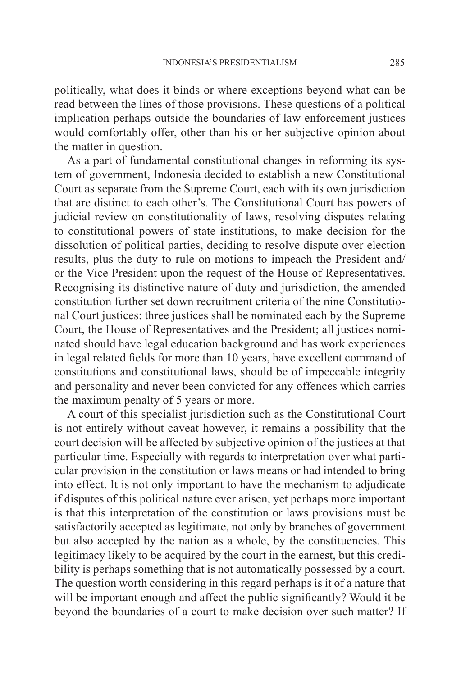politically, what does it binds or where exceptions beyond what can be read between the lines of those provisions. These questions of a political implication perhaps outside the boundaries of law enforcement justices would comfortably offer, other than his or her subjective opinion about the matter in question.

As a part of fundamental constitutional changes in reforming its system of government, Indonesia decided to establish a new Constitutional Court as separate from the Supreme Court, each with its own jurisdiction that are distinct to each other's. The Constitutional Court has powers of judicial review on constitutionality of laws, resolving disputes relating to constitutional powers of state institutions, to make decision for the dissolution of political parties, deciding to resolve dispute over election results, plus the duty to rule on motions to impeach the President and/ or the Vice President upon the request of the House of Representatives. Recognising its distinctive nature of duty and jurisdiction, the amended constitution further set down recruitment criteria of the nine Constitutional Court justices: three justices shall be nominated each by the Supreme Court, the House of Representatives and the President; all justices nominated should have legal education background and has work experiences in legal related fields for more than 10 years, have excellent command of constitutions and constitutional laws, should be of impeccable integrity and personality and never been convicted for any offences which carries the maximum penalty of 5 years or more.

A court of this specialist jurisdiction such as the Constitutional Court is not entirely without caveat however, it remains a possibility that the court decision will be affected by subjective opinion of the justices at that particular time. Especially with regards to interpretation over what particular provision in the constitution or laws means or had intended to bring into effect. It is not only important to have the mechanism to adjudicate if disputes of this political nature ever arisen, yet perhaps more important is that this interpretation of the constitution or laws provisions must be satisfactorily accepted as legitimate, not only by branches of government but also accepted by the nation as a whole, by the constituencies. This legitimacy likely to be acquired by the court in the earnest, but this credibility is perhaps something that is not automatically possessed by a court. The question worth considering in this regard perhaps is it of a nature that will be important enough and affect the public significantly? Would it be beyond the boundaries of a court to make decision over such matter? If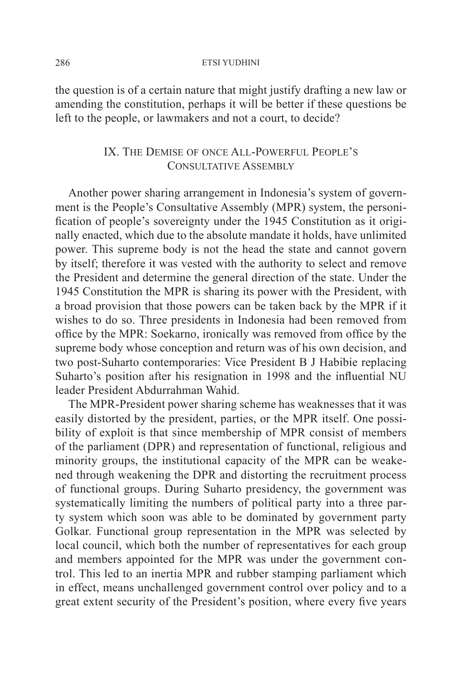the question is of a certain nature that might justify drafting a new law or amending the constitution, perhaps it will be better if these questions be left to the people, or lawmakers and not a court, to decide?

## IX. The Demise of once All-Powerful People's CONSULTATIVE ASSEMBLY

Another power sharing arrangement in Indonesia's system of government is the People's Consultative Assembly (MPR) system, the personification of people's sovereignty under the 1945 Constitution as it originally enacted, which due to the absolute mandate it holds, have unlimited power. This supreme body is not the head the state and cannot govern by itself; therefore it was vested with the authority to select and remove the President and determine the general direction of the state. Under the 1945 Constitution the MPR is sharing its power with the President, with a broad provision that those powers can be taken back by the MPR if it wishes to do so. Three presidents in Indonesia had been removed from office by the MPR: Soekarno, ironically was removed from office by the supreme body whose conception and return was of his own decision, and two post-Suharto contemporaries: Vice President B J Habibie replacing Suharto's position after his resignation in 1998 and the influential NU leader President Abdurrahman Wahid.

The MPR-President power sharing scheme has weaknesses that it was easily distorted by the president, parties, or the MPR itself. One possibility of exploit is that since membership of MPR consist of members of the parliament (DPR) and representation of functional, religious and minority groups, the institutional capacity of the MPR can be weakened through weakening the DPR and distorting the recruitment process of functional groups. During Suharto presidency, the government was systematically limiting the numbers of political party into a three party system which soon was able to be dominated by government party Golkar. Functional group representation in the MPR was selected by local council, which both the number of representatives for each group and members appointed for the MPR was under the government control. This led to an inertia MPR and rubber stamping parliament which in effect, means unchallenged government control over policy and to a great extent security of the President's position, where every five years